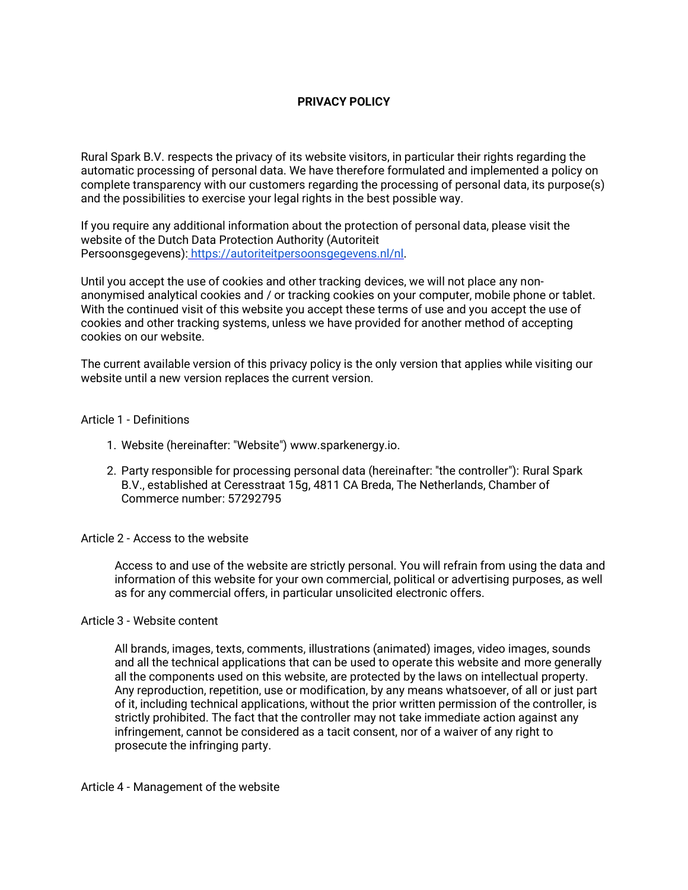# **PRIVACY POLICY**

Rural Spark B.V. respects the privacy of its website visitors, in particular their rights regarding the automatic processing of personal data. We have therefore formulated and implemented a policy on complete transparency with our customers regarding the processing of personal data, its purpose(s) and the possibilities to exercise your legal rights in the best possible way.

If you require any additional information about the protection of personal data, please visit the website of the Dutch Data Protection Authority (Autoriteit Persoonsgegevens): [https://autoriteitpersoonsgegevens.nl/nl.](https://autoriteitpersoonsgegevens.nl/nl)

Until you accept the use of cookies and other tracking devices, we will not place any nonanonymised analytical cookies and / or tracking cookies on your computer, mobile phone or tablet. With the continued visit of this website you accept these terms of use and you accept the use of cookies and other tracking systems, unless we have provided for another method of accepting cookies on our website.

The current available version of this privacy policy is the only version that applies while visiting our website until a new version replaces the current version.

### Article 1 - Definitions

- 1. Website (hereinafter: "Website") www.sparkenergy.io.
- 2. Party responsible for processing personal data (hereinafter: "the controller"): Rural Spark B.V., established at Ceresstraat 15g, 4811 CA Breda, The Netherlands, Chamber of Commerce number: 57292795

#### Article 2 - Access to the website

Access to and use of the website are strictly personal. You will refrain from using the data and information of this website for your own commercial, political or advertising purposes, as well as for any commercial offers, in particular unsolicited electronic offers.

#### Article 3 - Website content

All brands, images, texts, comments, illustrations (animated) images, video images, sounds and all the technical applications that can be used to operate this website and more generally all the components used on this website, are protected by the laws on intellectual property. Any reproduction, repetition, use or modification, by any means whatsoever, of all or just part of it, including technical applications, without the prior written permission of the controller, is strictly prohibited. The fact that the controller may not take immediate action against any infringement, cannot be considered as a tacit consent, nor of a waiver of any right to prosecute the infringing party.

#### Article 4 - Management of the website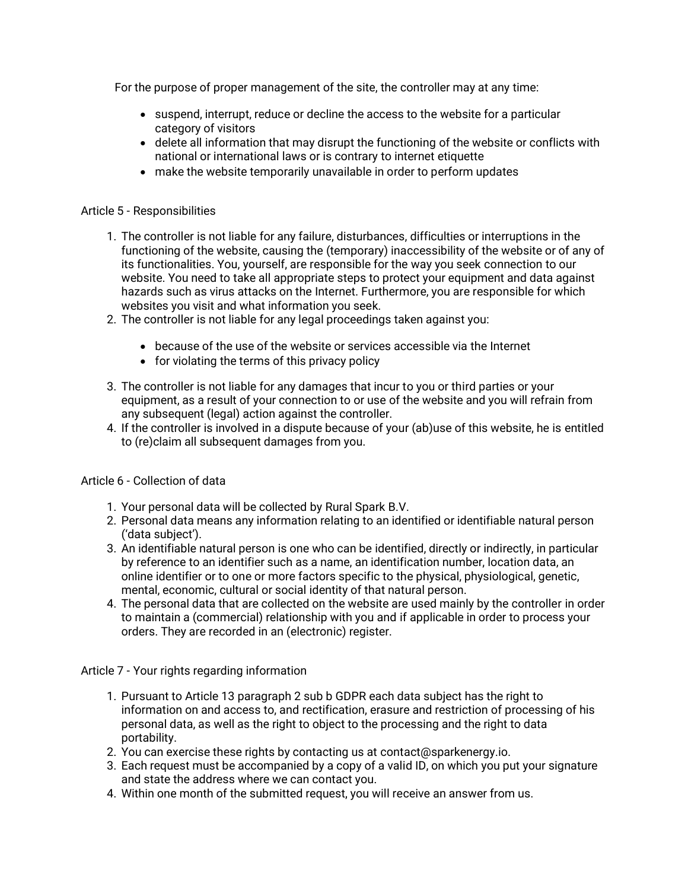For the purpose of proper management of the site, the controller may at any time:

- suspend, interrupt, reduce or decline the access to the website for a particular category of visitors
- delete all information that may disrupt the functioning of the website or conflicts with national or international laws or is contrary to internet etiquette
- make the website temporarily unavailable in order to perform updates

# Article 5 - Responsibilities

- 1. The controller is not liable for any failure, disturbances, difficulties or interruptions in the functioning of the website, causing the (temporary) inaccessibility of the website or of any of its functionalities. You, yourself, are responsible for the way you seek connection to our website. You need to take all appropriate steps to protect your equipment and data against hazards such as virus attacks on the Internet. Furthermore, you are responsible for which websites you visit and what information you seek.
- 2. The controller is not liable for any legal proceedings taken against you:
	- because of the use of the website or services accessible via the Internet
	- for violating the terms of this privacy policy
- 3. The controller is not liable for any damages that incur to you or third parties or your equipment, as a result of your connection to or use of the website and you will refrain from any subsequent (legal) action against the controller.
- 4. If the controller is involved in a dispute because of your (ab)use of this website, he is entitled to (re)claim all subsequent damages from you.

## Article 6 - Collection of data

- 1. Your personal data will be collected by Rural Spark B.V.
- 2. Personal data means any information relating to an identified or identifiable natural person ('data subject').
- 3. An identifiable natural person is one who can be identified, directly or indirectly, in particular by reference to an identifier such as a name, an identification number, location data, an online identifier or to one or more factors specific to the physical, physiological, genetic, mental, economic, cultural or social identity of that natural person.
- 4. The personal data that are collected on the website are used mainly by the controller in order to maintain a (commercial) relationship with you and if applicable in order to process your orders. They are recorded in an (electronic) register.

Article 7 - Your rights regarding information

- 1. Pursuant to Article 13 paragraph 2 sub b GDPR each data subject has the right to information on and access to, and rectification, erasure and restriction of processing of his personal data, as well as the right to object to the processing and the right to data portability.
- 2. You can exercise these rights by contacting us at contact@sparkenergy.io.
- 3. Each request must be accompanied by a copy of a valid ID, on which you put your signature and state the address where we can contact you.
- 4. Within one month of the submitted request, you will receive an answer from us.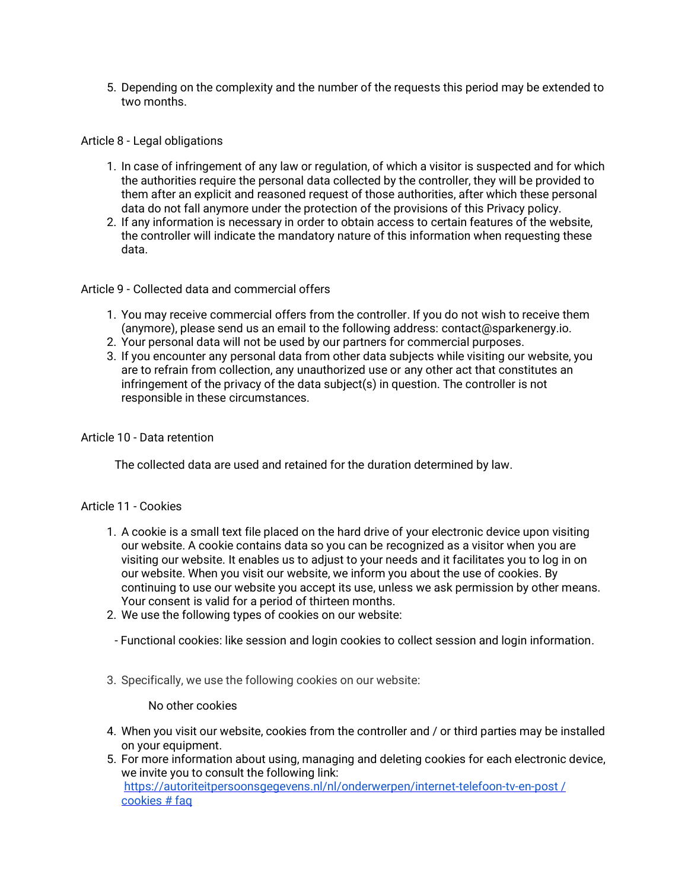5. Depending on the complexity and the number of the requests this period may be extended to two months.

## Article 8 - Legal obligations

- 1. In case of infringement of any law or regulation, of which a visitor is suspected and for which the authorities require the personal data collected by the controller, they will be provided to them after an explicit and reasoned request of those authorities, after which these personal data do not fall anymore under the protection of the provisions of this Privacy policy.
- 2. If any information is necessary in order to obtain access to certain features of the website, the controller will indicate the mandatory nature of this information when requesting these data.

### Article 9 - Collected data and commercial offers

- 1. You may receive commercial offers from the controller. If you do not wish to receive them (anymore), please send us an email to the following address: contact@sparkenergy.io.
- 2. Your personal data will not be used by our partners for commercial purposes.
- 3. If you encounter any personal data from other data subjects while visiting our website, you are to refrain from collection, any unauthorized use or any other act that constitutes an infringement of the privacy of the data subject(s) in question. The controller is not responsible in these circumstances.

### Article 10 - Data retention

The collected data are used and retained for the duration determined by law.

## Article 11 - Cookies

- 1. A cookie is a small text file placed on the hard drive of your electronic device upon visiting our website. A cookie contains data so you can be recognized as a visitor when you are visiting our website. It enables us to adjust to your needs and it facilitates you to log in on our website. When you visit our website, we inform you about the use of cookies. By continuing to use our website you accept its use, unless we ask permission by other means. Your consent is valid for a period of thirteen months.
- 2. We use the following types of cookies on our website:
	- Functional cookies: like session and login cookies to collect session and login information.
- 3. Specifically, we use the following cookies on our website:

## No other cookies

- 4. When you visit our website, cookies from the controller and / or third parties may be installed on your equipment.
- 5. For more information about using, managing and deleting cookies for each electronic device, we invite you to consult the following link: [https://autoriteitpersoonsgegevens.nl/nl/onderwerpen/internet-telefoon-tv-en-post /](https://autoriteitpersoonsgegevens.nl/nl/onderwerpen/internet-telefoon-tv-en-post/cookies#faq)  [cookies # faq](https://autoriteitpersoonsgegevens.nl/nl/onderwerpen/internet-telefoon-tv-en-post/cookies#faq)